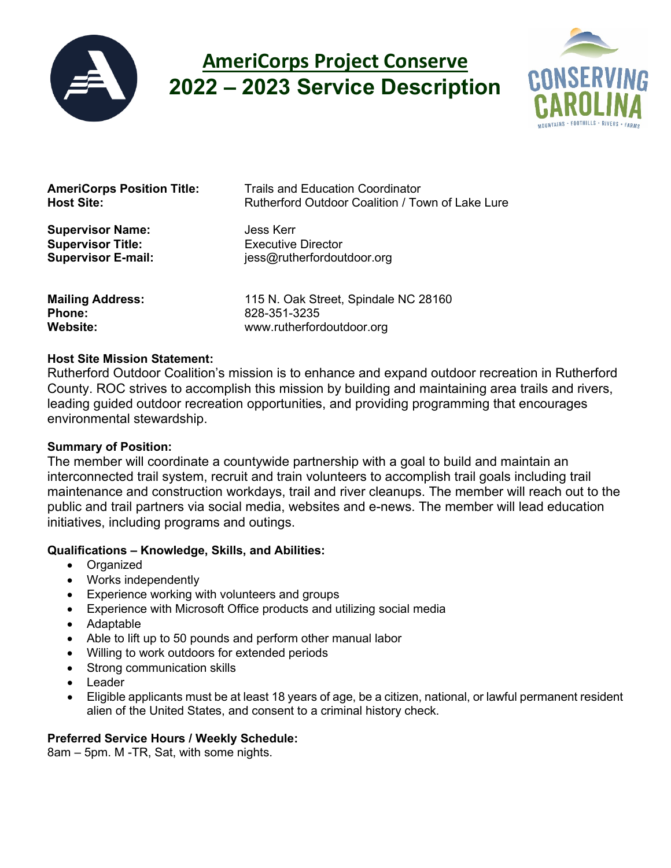

# **AmeriCorps Project Conserve 2022 – 2023 Service Description**



**Supervisor Name: Jess Kerr Supervisor Title:** Executive Director

**AmeriCorps Position Title:** Trails and Education Coordinator<br>**Host Site:** Rutherford Outdoor Coalition / To **Host Site:** Rutherford Outdoor Coalition / Town of Lake Lure

**Supervisor E-mail:** jess@rutherfordoutdoor.org

**Phone:** 828-351-3235

**Mailing Address:** 115 N. Oak Street, Spindale NC 28160<br> **Phone:** 828-351-3235 **Website:** www.rutherfordoutdoor.org

## **Host Site Mission Statement:**

Rutherford Outdoor Coalition's mission is to enhance and expand outdoor recreation in Rutherford County. ROC strives to accomplish this mission by building and maintaining area trails and rivers, leading guided outdoor recreation opportunities, and providing programming that encourages environmental stewardship.

#### **Summary of Position:**

The member will coordinate a countywide partnership with a goal to build and maintain an interconnected trail system, recruit and train volunteers to accomplish trail goals including trail maintenance and construction workdays, trail and river cleanups. The member will reach out to the public and trail partners via social media, websites and e-news. The member will lead education initiatives, including programs and outings.

# **Qualifications – Knowledge, Skills, and Abilities:**

- Organized
- Works independently
- Experience working with volunteers and groups
- Experience with Microsoft Office products and utilizing social media
- Adaptable
- Able to lift up to 50 pounds and perform other manual labor
- Willing to work outdoors for extended periods
- Strong communication skills
- Leader
- Eligible applicants must be at least 18 years of age, be a citizen, national, or lawful permanent resident alien of the United States, and consent to a criminal history check.

# **Preferred Service Hours / Weekly Schedule:**

8am – 5pm. M -TR, Sat, with some nights.